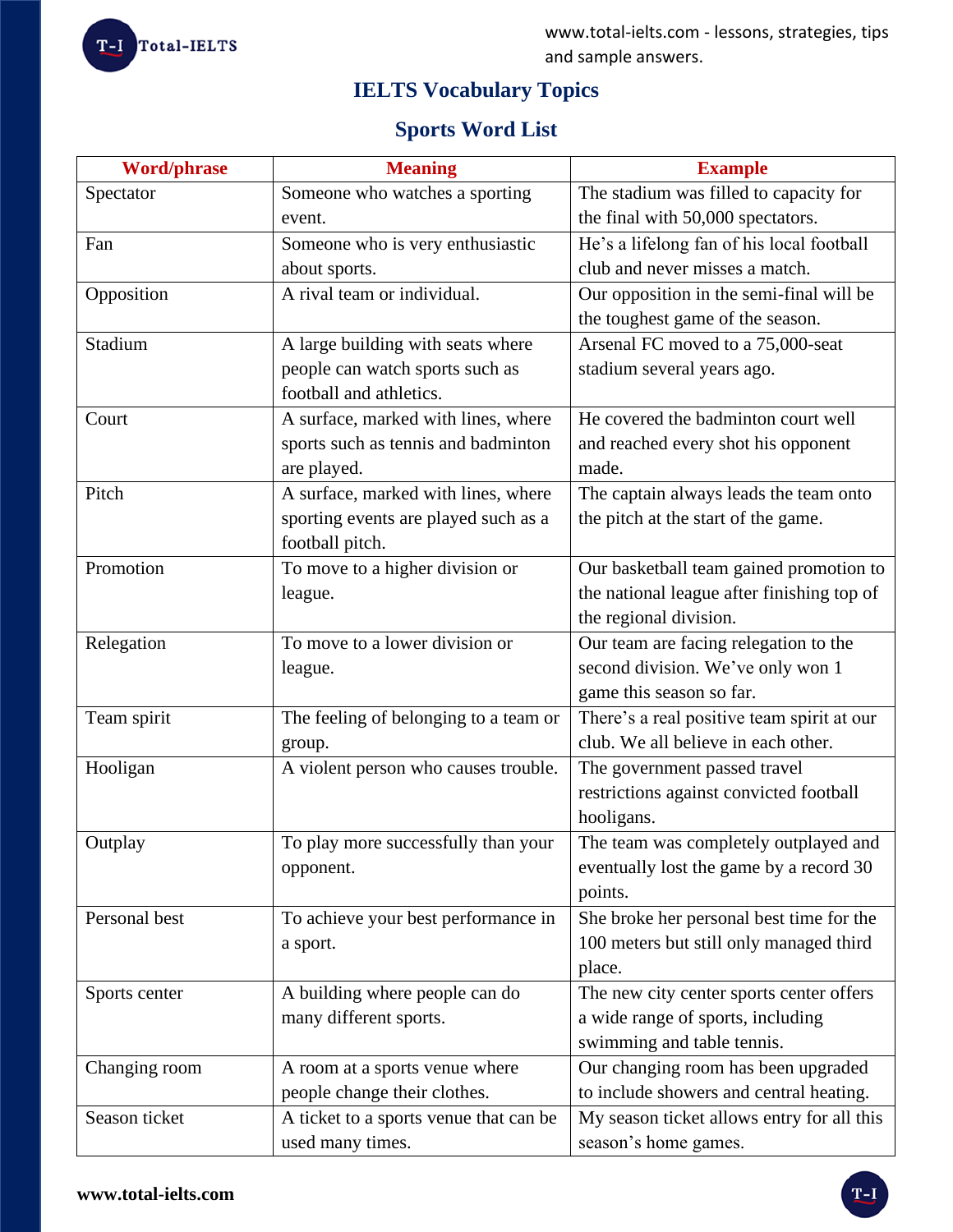

# **IELTS Vocabulary Topics**

# **Sports Word List**

| <b>Word/phrase</b> | <b>Meaning</b>                         | <b>Example</b>                             |
|--------------------|----------------------------------------|--------------------------------------------|
| Spectator          | Someone who watches a sporting         | The stadium was filled to capacity for     |
|                    | event.                                 | the final with 50,000 spectators.          |
| Fan                | Someone who is very enthusiastic       | He's a lifelong fan of his local football  |
|                    | about sports.                          | club and never misses a match.             |
| Opposition         | A rival team or individual.            | Our opposition in the semi-final will be   |
|                    |                                        | the toughest game of the season.           |
| Stadium            | A large building with seats where      | Arsenal FC moved to a 75,000-seat          |
|                    | people can watch sports such as        | stadium several years ago.                 |
|                    | football and athletics.                |                                            |
| Court              | A surface, marked with lines, where    | He covered the badminton court well        |
|                    | sports such as tennis and badminton    | and reached every shot his opponent        |
|                    | are played.                            | made.                                      |
| Pitch              | A surface, marked with lines, where    | The captain always leads the team onto     |
|                    | sporting events are played such as a   | the pitch at the start of the game.        |
|                    | football pitch.                        |                                            |
| Promotion          | To move to a higher division or        | Our basketball team gained promotion to    |
|                    | league.                                | the national league after finishing top of |
|                    |                                        | the regional division.                     |
| Relegation         | To move to a lower division or         | Our team are facing relegation to the      |
|                    | league.                                | second division. We've only won 1          |
|                    |                                        | game this season so far.                   |
| Team spirit        | The feeling of belonging to a team or  | There's a real positive team spirit at our |
|                    | group.                                 | club. We all believe in each other.        |
| Hooligan           | A violent person who causes trouble.   | The government passed travel               |
|                    |                                        | restrictions against convicted football    |
|                    |                                        | hooligans.                                 |
| Outplay            | To play more successfully than your    | The team was completely outplayed and      |
|                    | opponent.                              | eventually lost the game by a record 30    |
|                    |                                        | points.                                    |
| Personal best      | To achieve your best performance in    | She broke her personal best time for the   |
|                    | a sport.                               | 100 meters but still only managed third    |
|                    |                                        | place.                                     |
| Sports center      | A building where people can do         | The new city center sports center offers   |
|                    | many different sports.                 | a wide range of sports, including          |
|                    |                                        | swimming and table tennis.                 |
| Changing room      | A room at a sports venue where         | Our changing room has been upgraded        |
|                    | people change their clothes.           | to include showers and central heating.    |
| Season ticket      | A ticket to a sports venue that can be | My season ticket allows entry for all this |
|                    | used many times.                       | season's home games.                       |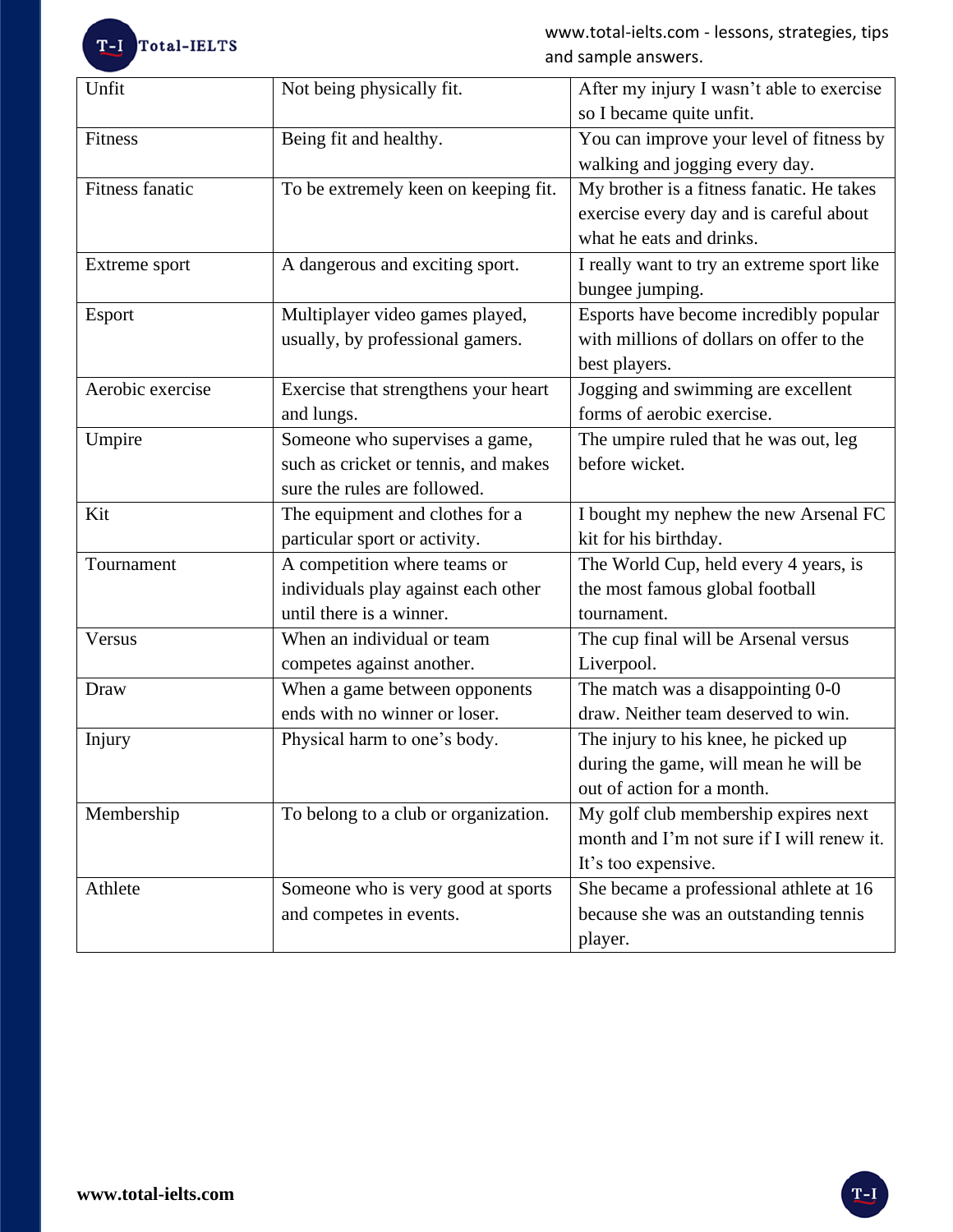www.total-ielts.com - lessons, strategies, tips and sample answers.

| Unfit                  | Not being physically fit.            | After my injury I wasn't able to exercise  |
|------------------------|--------------------------------------|--------------------------------------------|
|                        |                                      | so I became quite unfit.                   |
| Fitness                | Being fit and healthy.               | You can improve your level of fitness by   |
|                        |                                      | walking and jogging every day.             |
| <b>Fitness fanatic</b> | To be extremely keen on keeping fit. | My brother is a fitness fanatic. He takes  |
|                        |                                      | exercise every day and is careful about    |
|                        |                                      | what he eats and drinks.                   |
| Extreme sport          | A dangerous and exciting sport.      | I really want to try an extreme sport like |
|                        |                                      | bungee jumping.                            |
| Esport                 | Multiplayer video games played,      | Esports have become incredibly popular     |
|                        | usually, by professional gamers.     | with millions of dollars on offer to the   |
|                        |                                      | best players.                              |
| Aerobic exercise       | Exercise that strengthens your heart | Jogging and swimming are excellent         |
|                        | and lungs.                           | forms of aerobic exercise.                 |
| Umpire                 | Someone who supervises a game,       | The umpire ruled that he was out, leg      |
|                        | such as cricket or tennis, and makes | before wicket.                             |
|                        | sure the rules are followed.         |                                            |
| Kit                    | The equipment and clothes for a      | I bought my nephew the new Arsenal FC      |
|                        | particular sport or activity.        | kit for his birthday.                      |
| Tournament             | A competition where teams or         | The World Cup, held every 4 years, is      |
|                        | individuals play against each other  | the most famous global football            |
|                        | until there is a winner.             | tournament.                                |
| Versus                 | When an individual or team           | The cup final will be Arsenal versus       |
|                        | competes against another.            | Liverpool.                                 |
| Draw                   | When a game between opponents        | The match was a disappointing 0-0          |
|                        | ends with no winner or loser.        | draw. Neither team deserved to win.        |
| Injury                 | Physical harm to one's body.         | The injury to his knee, he picked up       |
|                        |                                      | during the game, will mean he will be      |
|                        |                                      | out of action for a month.                 |
| Membership             | To belong to a club or organization. | My golf club membership expires next       |
|                        |                                      | month and I'm not sure if I will renew it. |
|                        |                                      | It's too expensive.                        |
| Athlete                | Someone who is very good at sports   | She became a professional athlete at 16    |
|                        | and competes in events.              | because she was an outstanding tennis      |
|                        |                                      | player.                                    |